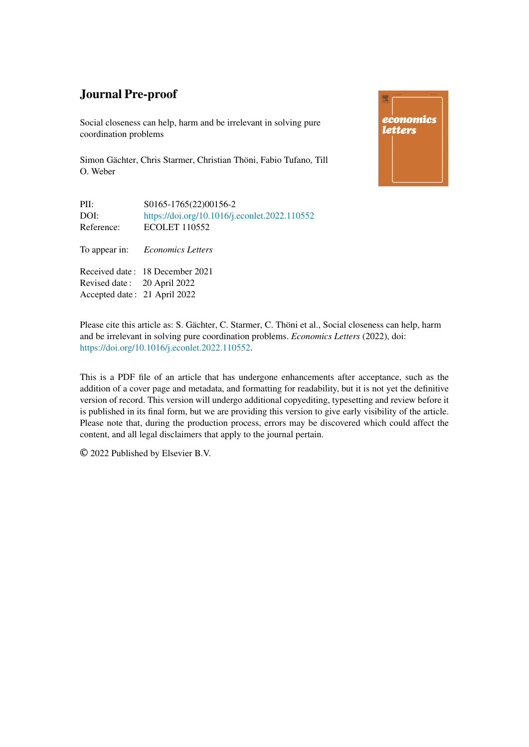Social closeness can help, harm and be irrelevant in solving pure coordination problems

Simon Gächter, Chris Starmer, Christian Thöni, Fabio Tufano, Till O. Weber





Please cite this article as: S. Gächter, C. Starmer, C. Thöni et al., Social closeness can help, harm and be irrelevant in solving pure coordination problems. *Economics Letters* (2022), doi: [https://doi.org/10.1016/j.econlet.2022.110552.](https://doi.org/10.1016/j.econlet.2022.110552)

This is a PDF file of an article that has undergone enhancements after acceptance, such as the addition of a cover page and metadata, and formatting for readability, but it is not yet the definitive version of record. This version will undergo additional copyediting, typesetting and review before it is published in its final form, but we are providing this version to give early visibility of the article. Please note that, during the production process, errors may be discovered which could affect the content, and all legal disclaimers that apply to the journal pertain.

© 2022 Published by Elsevier B.V.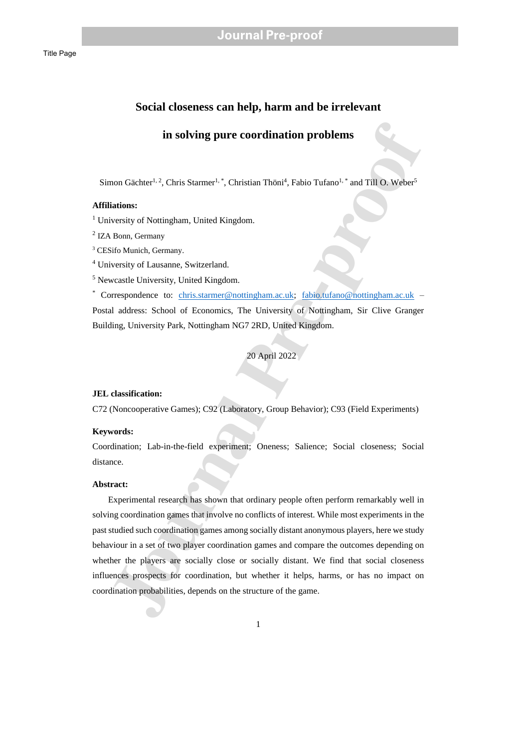### **Social closeness can help, harm and be irrelevant**

### **in solving pure coordination problems**

Simon Gächter<sup>1, 2</sup>, Chris Starmer<sup>1, \*</sup>, Christian Thöni<sup>4</sup>, Fabio Tufano<sup>1, \*</sup> and Till O. Weber<sup>5</sup>

### **Affiliations:**

<sup>1</sup> University of Nottingham, United Kingdom.

<sup>2</sup> IZA Bonn, Germany

<sup>3</sup> CESifo Munich, Germany.

<sup>4</sup> University of Lausanne, Switzerland.

<sup>5</sup> Newcastle University, United Kingdom.

\* Correspondence to: chris.starmer@nottingham.ac.uk; fabio.tufano@nottingham.ac.uk – Postal address: School of Economics, The University of Nottingham, Sir Clive Granger Building, University Park, Nottingham NG7 2RD, United Kingdom.

20 April 2022

### **JEL classification:**

C72 (Noncooperative Games); C92 (Laboratory, Group Behavior); C93 (Field Experiments)

### **Keywords:**

Coordination; Lab-in-the-field experiment; Oneness; Salience; Social closeness; Social distance.

### **Abstract:**

**in solving pure coordination problems**<br>
mon Güchter<sup>1,2</sup>, Chris Surmer<sup>1,\*</sup>, Christian Thöni<sup>1</sup>, Fubio Tufano<sup>1,\*</sup> and Till O. Weber<sup>1</sup><br>
intitions:<br>
versity of Mottingham, United Kingdom.<br>
Bonn, Germany<br>
site Munich, Ger Experimental research has shown that ordinary people often perform remarkably well in solving coordination games that involve no conflicts of interest. While most experiments in the past studied such coordination games among socially distant anonymous players, here we study behaviour in a set of two player coordination games and compare the outcomes depending on whether the players are socially close or socially distant. We find that social closeness influences prospects for coordination, but whether it helps, harms, or has no impact on coordination probabilities, depends on the structure of the game.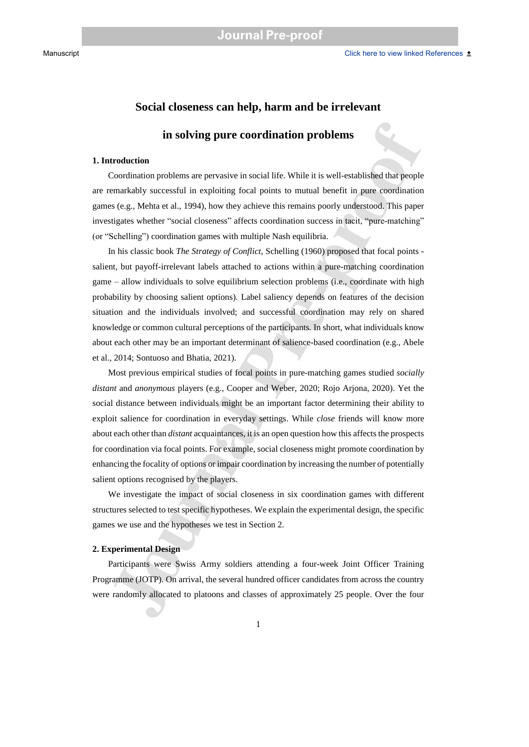### **Social closeness can help, harm and be irrelevant**

### **in solving pure coordination problems**

### **1. Introduction**

Coordination problems are pervasive in social life. While it is well-established that people are remarkably successful in exploiting focal points to mutual benefit in pure coordination games (e.g., Mehta et al., 1994), how they achieve this remains poorly understood. This paper investigates whether "social closeness" affects coordination success in tacit, "pure-matching" (or "Schelling") coordination games with multiple Nash equilibria.

**in solving pure coordination problems**<br> **Coordination**<br>
Coordination problems are pervasive in social life. While it is well-established that people<br>
condination problems are prevasive in social life. While it is well-es In his classic book *The Strategy of Conflict*, Schelling (1960) proposed that focal points salient, but payoff-irrelevant labels attached to actions within a pure-matching coordination game – allow individuals to solve equilibrium selection problems (i.e., coordinate with high probability by choosing salient options). Label saliency depends on features of the decision situation and the individuals involved; and successful coordination may rely on shared knowledge or common cultural perceptions of the participants*.* In short, what individuals know about each other may be an important determinant of salience-based coordination (e.g., Abele et al., 2014; Sontuoso and Bhatia, 2021).

Most previous empirical studies of focal points in pure-matching games studied *socially distant* and *anonymous* players (e.g., Cooper and Weber, 2020; Rojo Arjona, 2020). Yet the social distance between individuals might be an important factor determining their ability to exploit salience for coordination in everyday settings. While *close* friends will know more about each other than *distant* acquaintances, it is an open question how this affects the prospects for coordination via focal points. For example, social closeness might promote coordination by enhancing the focality of options or impair coordination by increasing the number of potentially salient options recognised by the players.

We investigate the impact of social closeness in six coordination games with different structures selected to test specific hypotheses. We explain the experimental design, the specific games we use and the hypotheses we test in Section 2.

#### **2. Experimental Design**

Participants were Swiss Army soldiers attending a four-week Joint Officer Training Programme (JOTP). On arrival, the several hundred officer candidates from across the country were randomly allocated to platoons and classes of approximately 25 people. Over the four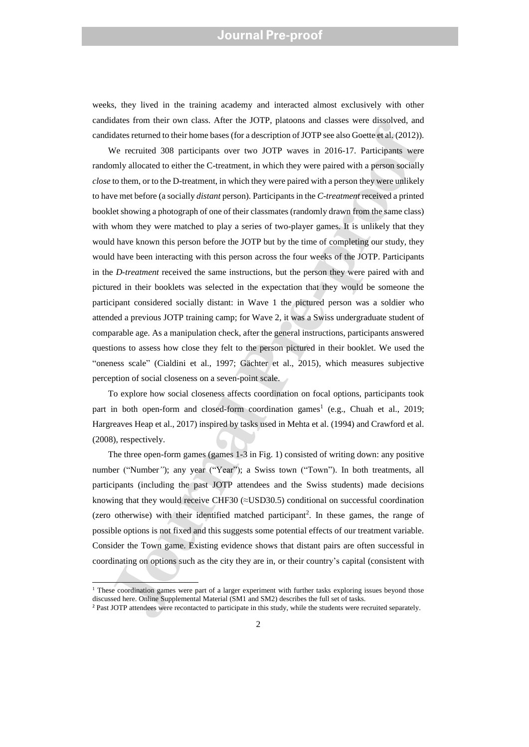weeks, they lived in the training academy and interacted almost exclusively with other candidates from their own class. After the JOTP, platoons and classes were dissolved, and candidates returned to their home bases (for a description of JOTP see also Goette et al. (2012)).

anals more near two reass. Anter un corre, parameters and cases were ussores and consider the proof of the mean of the consideration and consideration and consideration and consideration and consideration and consideration We recruited 308 participants over two JOTP waves in 2016-17. Participants were randomly allocated to either the C-treatment, in which they were paired with a person socially *close* to them, or to the D-treatment, in which they were paired with a person they were unlikely to have met before (a socially *distant* person). Participants in the *C-treatment* received a printed booklet showing a photograph of one of their classmates (randomly drawn from the same class) with whom they were matched to play a series of two-player games. It is unlikely that they would have known this person before the JOTP but by the time of completing our study, they would have been interacting with this person across the four weeks of the JOTP. Participants in the *D-treatment* received the same instructions, but the person they were paired with and pictured in their booklets was selected in the expectation that they would be someone the participant considered socially distant: in Wave 1 the pictured person was a soldier who attended a previous JOTP training camp; for Wave 2, it was a Swiss undergraduate student of comparable age. As a manipulation check, after the general instructions, participants answered questions to assess how close they felt to the person pictured in their booklet. We used the "oneness scale" (Cialdini et al., 1997; Gächter et al., 2015), which measures subjective perception of social closeness on a seven-point scale.

To explore how social closeness affects coordination on focal options, participants took part in both open-form and closed-form coordination games<sup>1</sup> (e.g., Chuah et al., 2019; Hargreaves Heap et al., 2017) inspired by tasks used in Mehta et al. (1994) and Crawford et al. (2008), respectively.

The three open-form games (games 1-3 in Fig. 1) consisted of writing down: any positive number ("Number*"*); any year ("Year"); a Swiss town ("Town"). In both treatments, all participants (including the past JOTP attendees and the Swiss students) made decisions knowing that they would receive CHF30  $(\approx$ USD30.5) conditional on successful coordination (zero otherwise) with their identified matched participant<sup>2</sup>. In these games, the range of possible options is not fixed and this suggests some potential effects of our treatment variable. Consider the Town game. Existing evidence shows that distant pairs are often successful in coordinating on options such as the city they are in, or their country's capital (consistent with

-

 $1$ . These coordination games were part of a larger experiment with further tasks exploring issues beyond those discussed here. Online Supplemental Material (SM1 and SM2) describes the full set of tasks.

<sup>&</sup>lt;sup>2</sup> Past JOTP attendees were recontacted to participate in this study, while the students were recruited separately.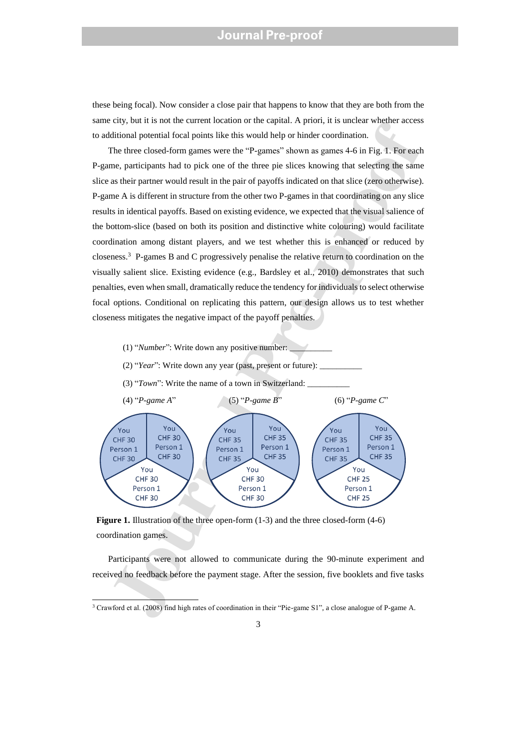these being focal). Now consider a close pair that happens to know that they are both from the same city, but it is not the current location or the capital. A priori, it is unclear whether access to additional potential focal points like this would help or hinder coordination.

Ency not in some three throughout the transmission of the contribution.<br>
The three closed-form games since the "P-games" shown as games 4-6 in Fig. 1. For each<br>
The three closed-form games were the "P-games" shown as game The three closed-form games were the "P-games" shown as games 4-6 in Fig. 1. For each P-game, participants had to pick one of the three pie slices knowing that selecting the same slice as their partner would result in the pair of payoffs indicated on that slice (zero otherwise). P-game A is different in structure from the other two P-games in that coordinating on any slice results in identical payoffs. Based on existing evidence, we expected that the visual salience of the bottom-slice (based on both its position and distinctive white colouring) would facilitate coordination among distant players, and we test whether this is enhanced or reduced by closeness.<sup>3</sup> P-games B and C progressively penalise the relative return to coordination on the visually salient slice. Existing evidence (e.g., Bardsley et al., 2010) demonstrates that such penalties, even when small, dramatically reduce the tendency for individuals to select otherwise focal options. Conditional on replicating this pattern, our design allows us to test whether closeness mitigates the negative impact of the payoff penalties.

- (1) "*Number*": Write down any positive number: \_\_\_\_\_\_\_\_\_\_
- (2) "*Year*": Write down any year (past, present or future):
- (3) "*Town*": Write the name of a town in Switzerland: \_\_\_\_\_\_\_\_\_\_



**Figure 1.** Illustration of the three open-form  $(1-3)$  and the three closed-form  $(4-6)$ coordination games.

-

Participants were not allowed to communicate during the 90-minute experiment and received no feedback before the payment stage. After the session, five booklets and five tasks

<sup>3</sup> Crawford et al. (2008) find high rates of coordination in their "Pie-game S1", a close analogue of P-game A.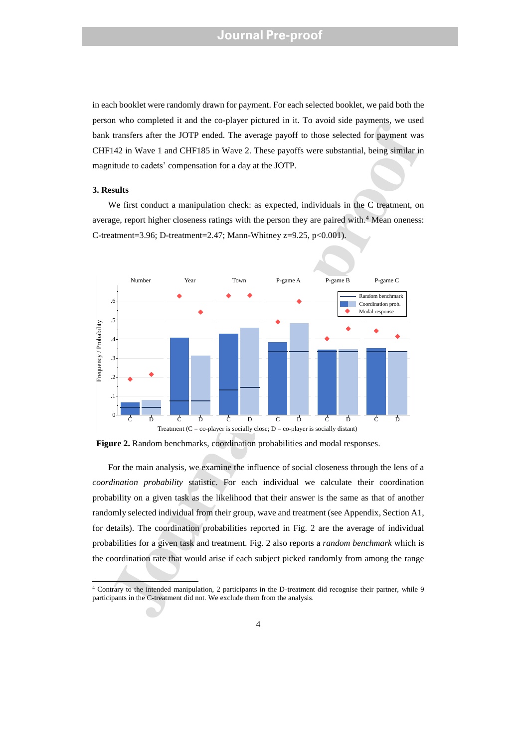in each booklet were randomly drawn for payment. For each selected booklet, we paid both the person who completed it and the co-player pictured in it. To avoid side payments, we used bank transfers after the JOTP ended. The average payoff to those selected for payment was CHF142 in Wave 1 and CHF185 in Wave 2. These payoffs were substantial, being similar in magnitude to cadets' compensation for a day at the JOTP.

### **3. Results**

-

We first conduct a manipulation check: as expected, individuals in the C treatment, on average, report higher closeness ratings with the person they are paired with. <sup>4</sup> Mean oneness: C-treatment=3.96; D-treatment=2.47; Mann-Whitney z=9.25, p<0.001).



**Figure 2.** Random benchmarks, coordination probabilities and modal responses.

For the main analysis, we examine the influence of social closeness through the lens of a *coordination probability* statistic. For each individual we calculate their coordination probability on a given task as the likelihood that their answer is the same as that of another randomly selected individual from their group, wave and treatment (see Appendix, Section A1, for details). The coordination probabilities reported in Fig. 2 are the average of individual probabilities for a given task and treatment. Fig. 2 also reports a *random benchmark* which is the coordination rate that would arise if each subject picked randomly from among the range

<sup>4</sup> Contrary to the intended manipulation, 2 participants in the D-treatment did recognise their partner, while 9 participants in the C-treatment did not. We exclude them from the analysis.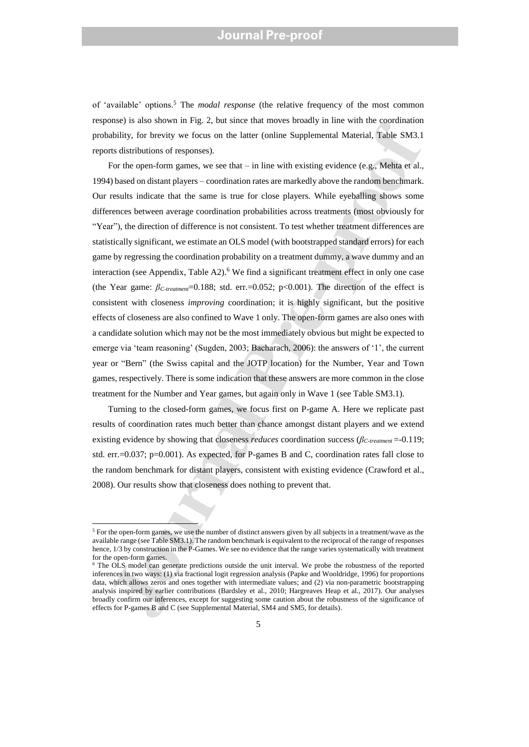of 'available' options.<sup>5</sup> The *modal response* (the relative frequency of the most common response) is also shown in Fig. 2, but since that moves broadly in line with the coordination probability, for brevity we focus on the latter (online Supplemental Material, Table SM3.1 reports distributions of responses).

mss) is also snown in rip. 2, but since that means to make the matterns to that the cristmanninum to the controllation of responses).<br>
Heility, for brevity we focus on the latter (online Supplemental Material, Table SM3.1<br> For the open-form games, we see that – in line with existing evidence (e.g., Mehta et al., 1994) based on distant players – coordination rates are markedly above the random benchmark. Our results indicate that the same is true for close players. While eyeballing shows some differences between average coordination probabilities across treatments (most obviously for "Year"), the direction of difference is not consistent. To test whether treatment differences are statistically significant, we estimate an OLS model (with bootstrapped standard errors) for each game by regressing the coordination probability on a treatment dummy, a wave dummy and an interaction (see Appendix, Table A2).<sup>6</sup> We find a significant treatment effect in only one case (the Year game: *βC-treatment*=0.188; std. err.=0.052; p<0.001). The direction of the effect is consistent with closeness *improving* coordination; it is highly significant, but the positive effects of closeness are also confined to Wave 1 only. The open-form games are also ones with a candidate solution which may not be the most immediately obvious but might be expected to emerge via 'team reasoning' (Sugden, 2003; Bacharach, 2006): the answers of '1', the current year or "Bern" (the Swiss capital and the JOTP location) for the Number, Year and Town games, respectively. There is some indication that these answers are more common in the close treatment for the Number and Year games, but again only in Wave 1 (see Table SM3.1).

Turning to the closed-form games, we focus first on P-game A. Here we replicate past results of coordination rates much better than chance amongst distant players and we extend existing evidence by showing that closeness *reduces* coordination success (*βC-treatment* =-0.119; std. err.=0.037; p=0.001). As expected, for P-games B and C, coordination rates fall close to the random benchmark for distant players, consistent with existing evidence (Crawford et al., 2008). Our results show that closeness does nothing to prevent that.

-

<sup>&</sup>lt;sup>5</sup> For the open-form games, we use the number of distinct answers given by all subjects in a treatment/wave as the available range (see Table SM3.1). The random benchmark is equivalent to the reciprocal of the range of responses hence,  $1/3$  by construction in the P-Games. We see no evidence that the range varies systematically with treatment for the open-form games.

<sup>&</sup>lt;sup>6</sup> The OLS model can generate predictions outside the unit interval. We probe the robustness of the reported inferences in two ways: (1) via fractional logit regression analysis (Papke and Wooldridge, 1996) for proportions data, which allows zeros and ones together with intermediate values; and (2) via non-parametric bootstrapping analysis inspired by earlier contributions (Bardsley et al., 2010; Hargreaves Heap et al., 2017). Our analyses broadly confirm our inferences, except for suggesting some caution about the robustness of the significance of effects for P-games B and C (see Supplemental Material, SM4 and SM5, for details).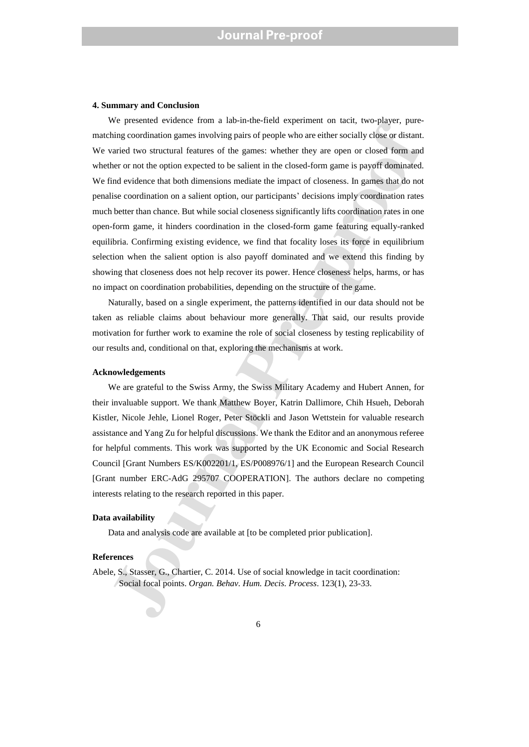#### **4. Summary and Conclusion**

we presenter concere more a universalized paperment on the nying theorem and the pre-production prime in the statement of the paperment of the paperment of the paperment of the games: whether they are open or closed form a We presented evidence from a lab-in-the-field experiment on tacit, two-player, purematching coordination games involving pairs of people who are either socially close or distant. We varied two structural features of the games: whether they are open or closed form and whether or not the option expected to be salient in the closed-form game is payoff dominated. We find evidence that both dimensions mediate the impact of closeness. In games that do not penalise coordination on a salient option, our participants' decisions imply coordination rates much better than chance. But while social closeness significantly lifts coordination rates in one open-form game, it hinders coordination in the closed-form game featuring equally-ranked equilibria. Confirming existing evidence, we find that focality loses its force in equilibrium selection when the salient option is also payoff dominated and we extend this finding by showing that closeness does not help recover its power. Hence closeness helps, harms, or has no impact on coordination probabilities, depending on the structure of the game.

Naturally, based on a single experiment, the patterns identified in our data should not be taken as reliable claims about behaviour more generally. That said, our results provide motivation for further work to examine the role of social closeness by testing replicability of our results and, conditional on that, exploring the mechanisms at work.

#### **Acknowledgements**

We are grateful to the Swiss Army, the Swiss Military Academy and Hubert Annen, for their invaluable support. We thank Matthew Boyer, Katrin Dallimore, Chih Hsueh, Deborah Kistler, Nicole Jehle, Lionel Roger, Peter Stöckli and Jason Wettstein for valuable research assistance and Yang Zu for helpful discussions. We thank the Editor and an anonymous referee for helpful comments. This work was supported by the UK Economic and Social Research Council [Grant Numbers ES/K002201/1, ES/P008976/1] and the European Research Council [Grant number ERC-AdG 295707 COOPERATION]. The authors declare no competing interests relating to the research reported in this paper.

### **Data availability**

Data and analysis code are available at [to be completed prior publication].

### **References**

Abele, S., Stasser, G., Chartier, C. 2014. Use of social knowledge in tacit coordination: Social focal points. *Organ. Behav. Hum. Decis. Process*. 123(1), 23-33.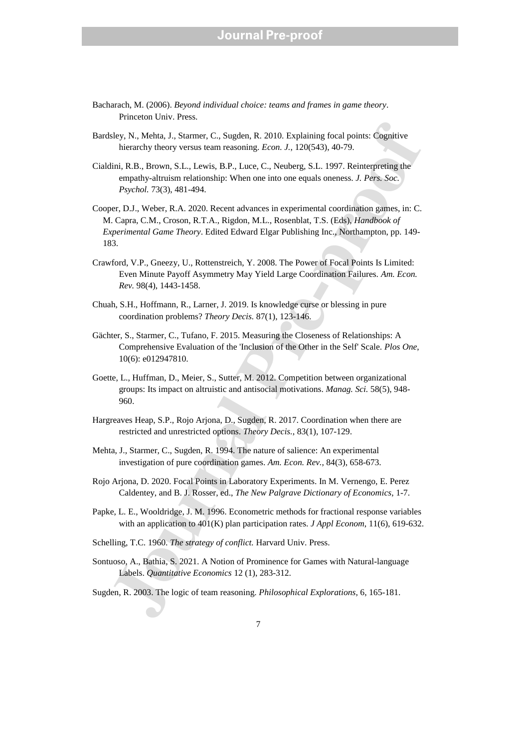- Bacharach, M. (2006). *Beyond individual choice: teams and frames in game theory*. Princeton Univ. Press.
- Bardsley, N., Mehta, J., Starmer, C., Sugden, R. 2010. Explaining focal points: Cognitive hierarchy theory versus team reasoning. *Econ. J.*, 120(543), 40-79.
- Cialdini, R.B., Brown, S.L., Lewis, B.P., Luce, C., Neuberg, S.L. 1997. Reinterpreting the empathy-altruism relationship: When one into one equals oneness. *J. Pers. Soc. Psychol.* 73(3), 481-494.
- sley, N., Mehta, J., Starmer, C., Sugden, R. 2010. Explaining focal points: Cognitive<br>
hierarchy theory versus team reasoning. Econ. J., 120(543), 40-79.<br>
linii. R.B., Brown, S.L., Lewis, B.P., Luce, C., Neuberg, S.L. 1997 Cooper, D.J., Weber, R.A. 2020. Recent advances in experimental coordination games, in: C. M. Capra, C.M., Croson, R.T.A., Rigdon, M.L., Rosenblat, T.S. (Eds), *Handbook of Experimental Game Theory*. Edited Edward Elgar Publishing Inc., Northampton, pp. 149- 183.
- Crawford, V.P., Gneezy, U., Rottenstreich, Y. 2008. The Power of Focal Points Is Limited: Even Minute Payoff Asymmetry May Yield Large Coordination Failures. *Am. Econ. Rev.* 98(4), 1443-1458.
- Chuah, S.H., Hoffmann, R., Larner, J. 2019. Is knowledge curse or blessing in pure coordination problems? *Theory Decis.* 87(1), 123-146.
- Gächter, S., Starmer, C., Tufano, F. 2015. Measuring the Closeness of Relationships: A Comprehensive Evaluation of the 'Inclusion of the Other in the Self' Scale. *Plos One*, 10(6): e012947810.
- Goette, L., Huffman, D., Meier, S., Sutter, M. 2012. Competition between organizational groups: Its impact on altruistic and antisocial motivations. *Manag. Sci.* 58(5), 948- 960.
- Hargreaves Heap, S.P., Rojo Arjona, D., Sugden, R. 2017. Coordination when there are restricted and unrestricted options. *Theory Decis.*, 83(1), 107-129.
- Mehta, J., Starmer, C., Sugden, R. 1994. The nature of salience: An experimental investigation of pure coordination games. *Am. Econ. Rev.*, 84(3), 658-673.
- Rojo Arjona, D. 2020. Focal Points in Laboratory Experiments. In M. Vernengo, E. Perez Caldentey, and B. J. Rosser, ed., *The New Palgrave Dictionary of Economics*, 1-7.
- Papke, L. E., Wooldridge, J. M. 1996. Econometric methods for fractional response variables with an application to 401(K) plan participation rates. *J Appl Econom*, 11(6), 619-632.
- Schelling, T.C. 1960. *The strategy of conflict.* Harvard Univ. Press.
- Sontuoso, A., Bathia, S. 2021. A Notion of Prominence for Games with Natural-language Labels. *Quantitative Economics* 12 (1), 283-312.
- Sugden, R. 2003. The logic of team reasoning. *Philosophical Explorations*, 6, 165-181.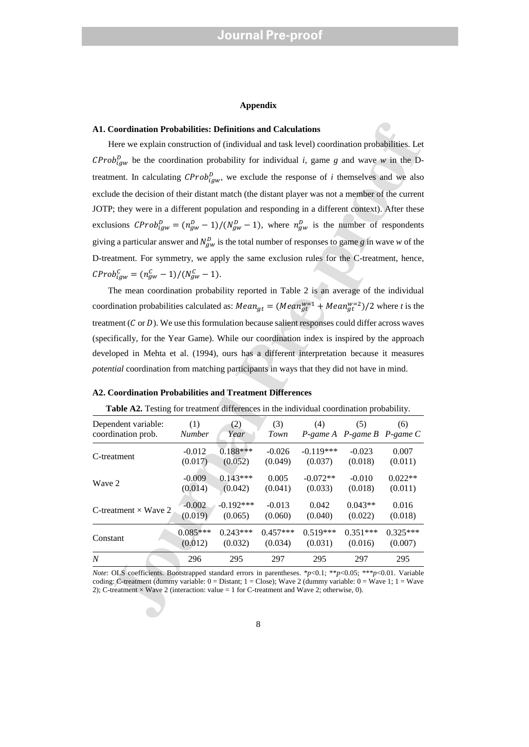### **Appendix**

#### **A1. Coordination Probabilities: Definitions and Calculations**

### **A2. Coordination Probabilities and Treatment Differences**

| Table A2. Testing for treatment differences in the individual coordination probability. |  |  |
|-----------------------------------------------------------------------------------------|--|--|
|                                                                                         |  |  |

| A1. Coordination Probabilities: Definitions and Calculations                                                                                                                                                                                                                                                                                     |                       |                       |                       |                       |                                   |                       |  |  |  |
|--------------------------------------------------------------------------------------------------------------------------------------------------------------------------------------------------------------------------------------------------------------------------------------------------------------------------------------------------|-----------------------|-----------------------|-----------------------|-----------------------|-----------------------------------|-----------------------|--|--|--|
| Here we explain construction of (individual and task level) coordination probabilities. Let                                                                                                                                                                                                                                                      |                       |                       |                       |                       |                                   |                       |  |  |  |
| $CProb_{igw}^{D}$ be the coordination probability for individual <i>i</i> , game g and wave w in the D-                                                                                                                                                                                                                                          |                       |                       |                       |                       |                                   |                       |  |  |  |
| treatment. In calculating $CProb_{igw}^D$ , we exclude the response of <i>i</i> themselves and we also                                                                                                                                                                                                                                           |                       |                       |                       |                       |                                   |                       |  |  |  |
| exclude the decision of their distant match (the distant player was not a member of the current                                                                                                                                                                                                                                                  |                       |                       |                       |                       |                                   |                       |  |  |  |
| JOTP; they were in a different population and responding in a different context). After these                                                                                                                                                                                                                                                    |                       |                       |                       |                       |                                   |                       |  |  |  |
| exclusions $CProb_{\text{fgw}}^D = (n_{\text{gw}}^D - 1)/(N_{\text{gw}}^D - 1)$ , where $n_{\text{gw}}^D$ is the number of respondents                                                                                                                                                                                                           |                       |                       |                       |                       |                                   |                       |  |  |  |
| giving a particular answer and $N_{gw}^D$ is the total number of responses to game g in wave w of the                                                                                                                                                                                                                                            |                       |                       |                       |                       |                                   |                       |  |  |  |
| D-treatment. For symmetry, we apply the same exclusion rules for the C-treatment, hence,                                                                                                                                                                                                                                                         |                       |                       |                       |                       |                                   |                       |  |  |  |
| $CProb_{igw}^{C} = (n_{gw}^{C} - 1)/(N_{gw}^{C} - 1).$                                                                                                                                                                                                                                                                                           |                       |                       |                       |                       |                                   |                       |  |  |  |
| The mean coordination probability reported in Table 2 is an average of the individual                                                                                                                                                                                                                                                            |                       |                       |                       |                       |                                   |                       |  |  |  |
| coordination probabilities calculated as: $Mean_{gt} = (Mean_{gt}^{w=1} + Mean_{gt}^{w=2})/2$ where t is the                                                                                                                                                                                                                                     |                       |                       |                       |                       |                                   |                       |  |  |  |
| treatment ( $C$ or $D$ ). We use this formulation because salient responses could differ across waves                                                                                                                                                                                                                                            |                       |                       |                       |                       |                                   |                       |  |  |  |
| (specifically, for the Year Game). While our coordination index is inspired by the approach                                                                                                                                                                                                                                                      |                       |                       |                       |                       |                                   |                       |  |  |  |
| developed in Mehta et al. (1994), ours has a different interpretation because it measures                                                                                                                                                                                                                                                        |                       |                       |                       |                       |                                   |                       |  |  |  |
| <i>potential</i> coordination from matching participants in ways that they did not have in mind.                                                                                                                                                                                                                                                 |                       |                       |                       |                       |                                   |                       |  |  |  |
|                                                                                                                                                                                                                                                                                                                                                  |                       |                       |                       |                       |                                   |                       |  |  |  |
| A2. Coordination Probabilities and Treatment Differences                                                                                                                                                                                                                                                                                         |                       |                       |                       |                       |                                   |                       |  |  |  |
| <b>Table A2.</b> Testing for treatment differences in the individual coordination probability.                                                                                                                                                                                                                                                   |                       |                       |                       |                       |                                   |                       |  |  |  |
| Dependent variable:<br>coordination prob.                                                                                                                                                                                                                                                                                                        | (1)<br>Number         | (2)<br>Year           | (3)<br>Town           | (4)                   | (5)<br>P-game A P-game B P-game C | (6)                   |  |  |  |
| C-treatment                                                                                                                                                                                                                                                                                                                                      | $-0.012$              | $0.188***$            | $-0.026$              | $-0.119***$           | $-0.023$                          | 0.007                 |  |  |  |
|                                                                                                                                                                                                                                                                                                                                                  | (0.017)               | (0.052)               | (0.049)               | (0.037)               | (0.018)                           | (0.011)               |  |  |  |
| Wave 2                                                                                                                                                                                                                                                                                                                                           | $-0.009$              | $0.143***$            | 0.005                 | $-0.072**$            | $-0.010$                          | $0.022**$             |  |  |  |
|                                                                                                                                                                                                                                                                                                                                                  | (0.014)               | (0.042)               | (0.041)               | (0.033)               | (0.018)                           | (0.011)               |  |  |  |
| C-treatment $\times$ Wave 2                                                                                                                                                                                                                                                                                                                      | $-0.002$              | $-0.192***$           | $-0.013$              | 0.042                 | $0.043**$                         | 0.016                 |  |  |  |
|                                                                                                                                                                                                                                                                                                                                                  | (0.019)               | (0.065)               | (0.060)               | (0.040)               | (0.022)                           | (0.018)               |  |  |  |
| Constant                                                                                                                                                                                                                                                                                                                                         | $0.085***$<br>(0.012) | $0.243***$<br>(0.032) | $0.457***$<br>(0.034) | $0.519***$<br>(0.031) | $0.351***$<br>(0.016)             | $0.325***$<br>(0.007) |  |  |  |
| N                                                                                                                                                                                                                                                                                                                                                | 296                   | 295                   | 297                   | 295                   | 297                               | 295                   |  |  |  |
|                                                                                                                                                                                                                                                                                                                                                  |                       |                       |                       |                       |                                   |                       |  |  |  |
| <i>Note:</i> OLS coefficients. Bootstrapped standard errors in parentheses. *p<0.1; **p<0.05; ***p<0.01. Variable<br>coding: C-treatment (dummy variable: $0 = Distant$ ; $1 = Close$ ); Wave 2 (dummy variable: $0 = Wave 1$ ; $1 = Wave$<br>2); C-treatment $\times$ Wave 2 (interaction: value = 1 for C-treatment and Wave 2; otherwise, 0). |                       |                       |                       |                       |                                   |                       |  |  |  |